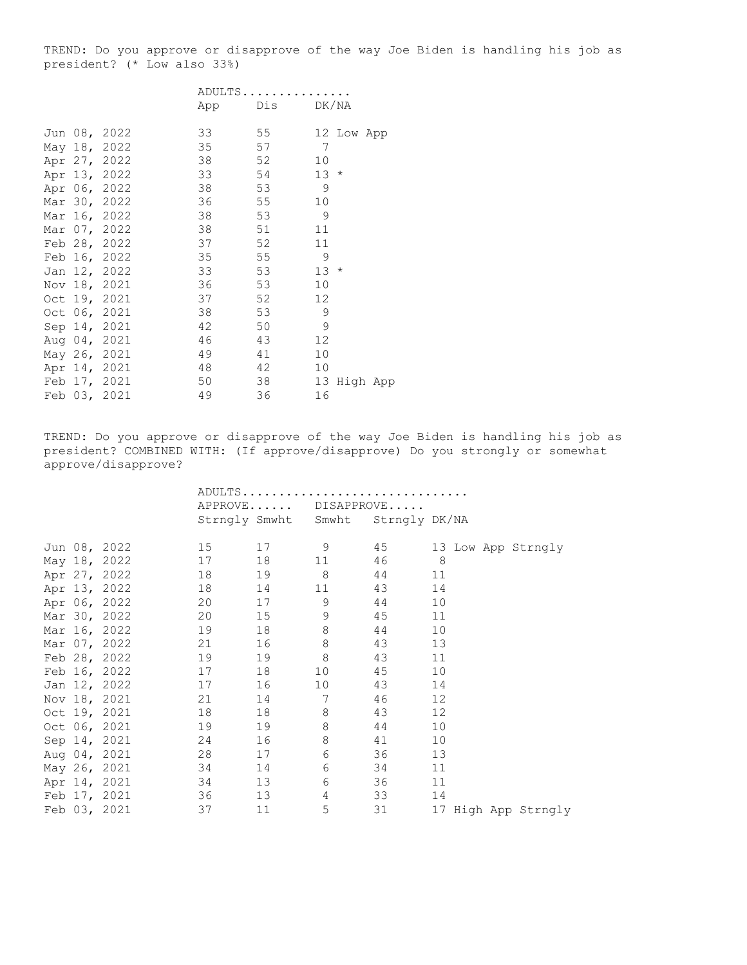TREND: Do you approve or disapprove of the way Joe Biden is handling his job as president? (\* Low also 33%)

|  |              |     | ADULTS |                  |
|--|--------------|-----|--------|------------------|
|  |              | App | Dis    | DK/NA            |
|  | Jun 08, 2022 | 33  | 55     | 12 Low App       |
|  | May 18, 2022 | 35  | 57     | 7                |
|  |              | 38  | 52     | 10               |
|  | Apr 27, 2022 |     |        |                  |
|  | Apr 13, 2022 | 33  | 54     | 13<br>$^{\star}$ |
|  | Apr 06, 2022 | 38  | 53     | 9                |
|  | Mar 30, 2022 | 36  | 55     | 10               |
|  | Mar 16, 2022 | 38  | 53     | 9                |
|  | Mar 07, 2022 | 38  | 51     | 11               |
|  | Feb 28, 2022 | 37  | 52     | 11               |
|  | Feb 16, 2022 | 35  | 55     | 9                |
|  | Jan 12, 2022 | 33  | 53     | 13<br>$\star$    |
|  | Nov 18, 2021 | 36  | 53     | 10               |
|  | Oct 19, 2021 | 37  | 52     | 12               |
|  | Oct 06, 2021 | 38  | 53     | 9                |
|  | Sep 14, 2021 | 42  | 50     | 9                |
|  | Aug 04, 2021 | 46  | 43     | 12               |
|  | May 26, 2021 | 49  | 41     | 10               |
|  | Apr 14, 2021 | 48  | 42     | 10               |
|  | Feb 17, 2021 | 50  | 38     | 13<br>High App   |
|  | Feb 03, 2021 | 49  | 36     | 16               |

TREND: Do you approve or disapprove of the way Joe Biden is handling his job as president? COMBINED WITH: (If approve/disapprove) Do you strongly or somewhat approve/disapprove?

|  |                 |          |       | ADULTS                            |       |                     |
|--|-----------------|----------|-------|-----------------------------------|-------|---------------------|
|  |                 |          |       | APPROVE DISAPPROVE                |       |                     |
|  |                 |          |       | Strngly Smwht Smwht Strngly DK/NA |       |                     |
|  |                 |          |       |                                   |       |                     |
|  | Jun 08, 2022    | 15 17 9  |       |                                   | 45    | 13 Low App Strngly  |
|  | May 18, 2022    | 17       | 18 11 |                                   | 46    | 8                   |
|  | Apr 27, 2022    | 18       | 19 8  |                                   | 44    | 11                  |
|  | Apr 13, 2022    | 18 14 11 |       |                                   | 43    | 14                  |
|  | Apr 06, 2022    | 20       |       | 9                                 | 44    | 10                  |
|  | Mar 30, 2022    | 20       | 15    | 9                                 | 45    | 11                  |
|  | Mar 16, 2022    | 19       | 18 8  |                                   | 44    | 10                  |
|  | Mar 07, 2022    | 21       | 16 8  |                                   | 43    | 13                  |
|  | Feb 28, 2022 19 |          | 19    | 8                                 | 43    | 11                  |
|  | Feb 16, 2022    | 17       | 18    | 10                                | 45    | 10                  |
|  | Jan 12, 2022    | 17       |       | 10                                | 43    | 14                  |
|  | Nov 18, 2021    | 21       | 14 7  |                                   | 46    | 12                  |
|  | Oct 19, 2021    | 18       | 18 8  |                                   | 43    | 12                  |
|  | Oct 06, 2021    | 19       | 19    | $8\,$                             | 44    | 10                  |
|  | Sep 14, 2021    | 24       |       | $\,8\,$                           | 41    | 10                  |
|  | Aug 04, 2021    | 28       |       | $\sqrt{6}$                        | 36    | 13                  |
|  | May 26, 2021    | 34       | 14    | 6                                 | 34    | 11                  |
|  | Apr 14, 2021 34 |          |       | 6                                 | 36 30 | 11                  |
|  | Feb 17, 2021    | 36       | 13    | 4                                 | 33    | 14                  |
|  | Feb 03, 2021    | 37 — 17  | 11    | 5                                 | 31    | 17 High App Strngly |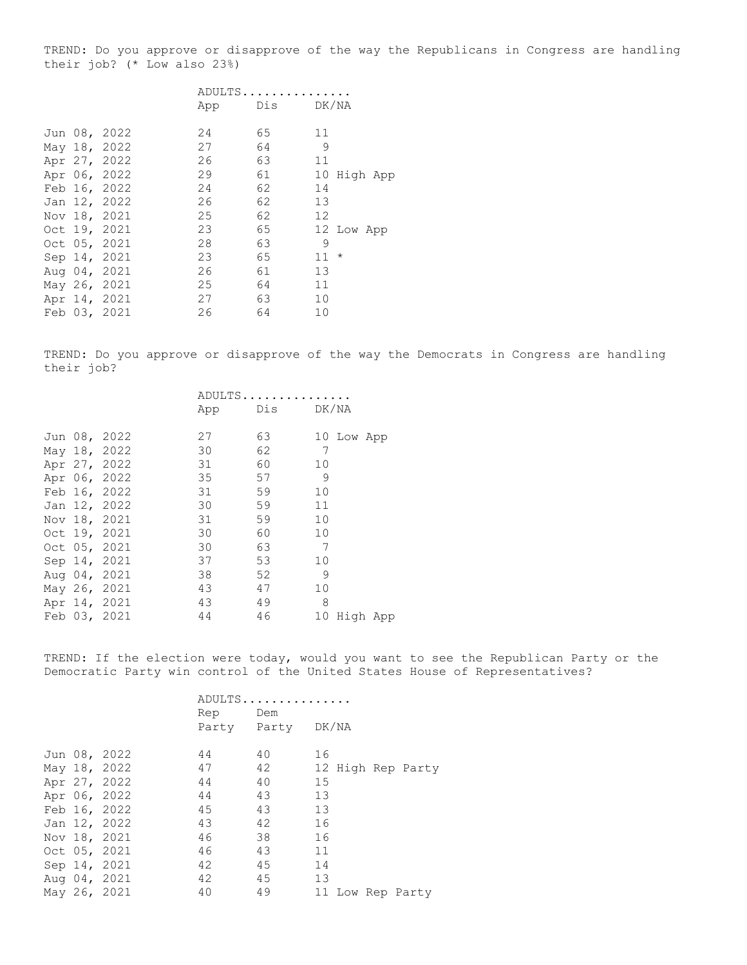TREND: Do you approve or disapprove of the way the Republicans in Congress are handling their job? (\* Low also 23%)

|  |              |    | ADULTS        |        |            |  |
|--|--------------|----|---------------|--------|------------|--|
|  |              |    | App Dis DK/NA |        |            |  |
|  | Jun 08, 2022 | 24 | 65            | 11     |            |  |
|  | May 18, 2022 | 27 | 64            | 9      |            |  |
|  | Apr 27, 2022 | 26 | 63            | 11     |            |  |
|  | Apr 06, 2022 | 29 | 61            | 10     | High App   |  |
|  | Feb 16, 2022 | 24 | 62            | 14     |            |  |
|  | Jan 12, 2022 | 26 | 62            | 13     |            |  |
|  | Nov 18, 2021 | 25 | 62            | 12     |            |  |
|  | Oct 19, 2021 | 23 | 65            |        | 12 Low App |  |
|  | Oct 05, 2021 | 28 | 63            | 9      |            |  |
|  | Sep 14, 2021 | 23 | 65            | $11 *$ |            |  |
|  | Aug 04, 2021 | 26 | 61            | 13     |            |  |
|  | May 26, 2021 | 25 | 64            | 11     |            |  |
|  | Apr 14, 2021 | 27 | 63            | 10     |            |  |
|  | Feb 03, 2021 | 26 | 64            | 10     |            |  |
|  |              |    |               |        |            |  |

TREND: Do you approve or disapprove of the way the Democrats in Congress are handling their job?

|  |              |     | ADULTS    |                |
|--|--------------|-----|-----------|----------------|
|  |              | App | Dis DK/NA |                |
|  | Jun 08, 2022 | 27  | 63        |                |
|  |              |     |           | 10 Low App     |
|  | May 18, 2022 | 30  | 62        | 7              |
|  | Apr 27, 2022 | 31  | 60        | 10             |
|  | Apr 06, 2022 | 35  | 57        | 9              |
|  | Feb 16, 2022 | 31  | 59        | 10             |
|  | Jan 12, 2022 | 30  | 59        | 11             |
|  | Nov 18, 2021 | 31  | 59        | 10             |
|  | Oct 19, 2021 | 30  | 60        | 10             |
|  | Oct 05, 2021 | 30  | 63        | 7              |
|  | Sep 14, 2021 | 37  | 53        | 10             |
|  | Aug 04, 2021 | 38  | 52        | 9              |
|  | May 26, 2021 | 43  | 47        | 10             |
|  | Apr 14, 2021 | 43  | 49        | 8              |
|  | Feb 03, 2021 | 44  | 46        | 10<br>High App |

TREND: If the election were today, would you want to see the Republican Party or the Democratic Party win control of the United States House of Representatives?

|  | Rep                                                                                                                                                                          |    |                                    |
|--|------------------------------------------------------------------------------------------------------------------------------------------------------------------------------|----|------------------------------------|
|  |                                                                                                                                                                              |    |                                    |
|  |                                                                                                                                                                              |    |                                    |
|  | 44                                                                                                                                                                           | 40 | 16                                 |
|  | 47                                                                                                                                                                           | 42 | 12 High Rep Party                  |
|  | 44                                                                                                                                                                           | 40 | 15                                 |
|  | 44                                                                                                                                                                           | 43 | 13                                 |
|  | 45                                                                                                                                                                           | 43 | 13                                 |
|  | 43                                                                                                                                                                           | 42 | 16                                 |
|  | 46                                                                                                                                                                           | 38 | 16                                 |
|  | 46                                                                                                                                                                           | 43 | 11                                 |
|  | 42                                                                                                                                                                           | 45 | 14                                 |
|  | 42                                                                                                                                                                           | 45 | 13                                 |
|  | 40                                                                                                                                                                           | 49 | 11 Low Rep Party                   |
|  | Jun 08, 2022<br>May 18, 2022<br>Apr 27, 2022<br>Apr 06, 2022<br>Feb 16, 2022<br>Jan 12, 2022<br>Nov 18, 2021<br>Oct 05, 2021<br>Sep 14, 2021<br>Aug 04, 2021<br>May 26, 2021 |    | ADULTS<br>Dem<br>Party Party DK/NA |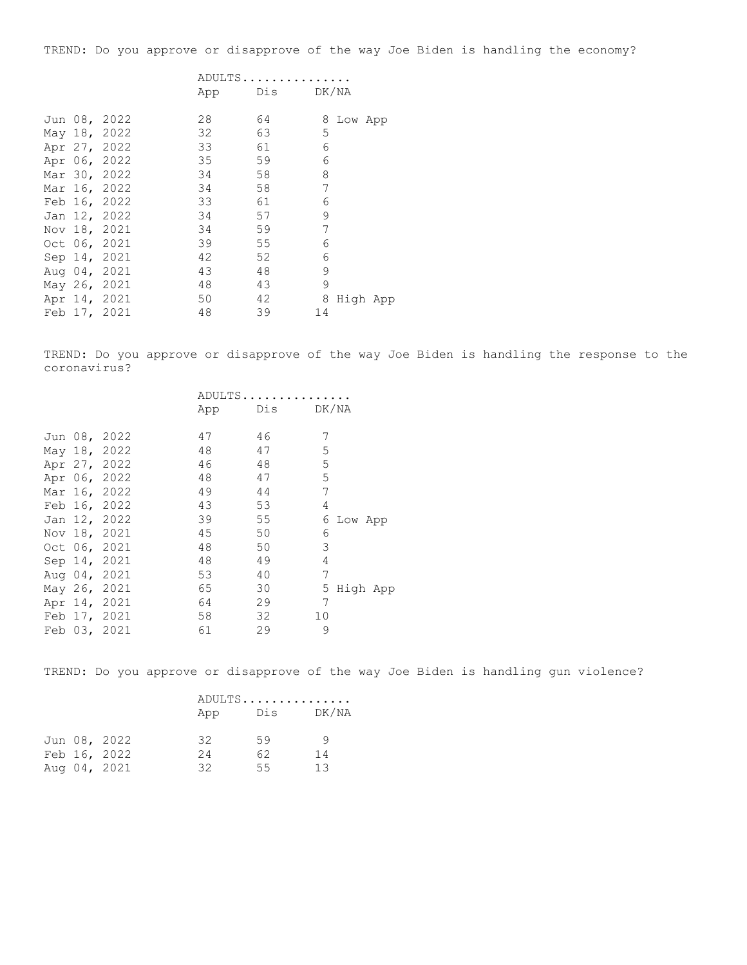TREND: Do you approve or disapprove of the way Joe Biden is handling the economy?

## ADULTS............... App Dis DK/NA

|  | Jun 08, 2022 | 28 | 64 |    | 8 Low App |  |
|--|--------------|----|----|----|-----------|--|
|  | May 18, 2022 | 32 | 63 | 5  |           |  |
|  | Apr 27, 2022 | 33 | 61 | 6  |           |  |
|  | Apr 06, 2022 | 35 | 59 | 6  |           |  |
|  | Mar 30, 2022 | 34 | 58 | 8  |           |  |
|  | Mar 16, 2022 | 34 | 58 | 7  |           |  |
|  | Feb 16, 2022 | 33 | 61 | 6  |           |  |
|  | Jan 12, 2022 | 34 | 57 | 9  |           |  |
|  | Nov 18, 2021 | 34 | 59 | 7  |           |  |
|  | Oct 06, 2021 | 39 | 55 | 6  |           |  |
|  | Sep 14, 2021 | 42 | 52 | 6  |           |  |
|  | Aug 04, 2021 | 43 | 48 | 9  |           |  |
|  | May 26, 2021 | 48 | 43 | 9  |           |  |
|  | Apr 14, 2021 | 50 | 42 | 8  | High App  |  |
|  | Feb 17, 2021 | 48 | 39 | 14 |           |  |

TREND: Do you approve or disapprove of the way Joe Biden is handling the response to the coronavirus?

|  |              | ADULTS |     |       |          |  |
|--|--------------|--------|-----|-------|----------|--|
|  |              | App    | Dis | DK/NA |          |  |
|  | Jun 08, 2022 | 47     | 46  | 7     |          |  |
|  | May 18, 2022 | 48     | 47  | 5     |          |  |
|  | Apr 27, 2022 | 46     | 48  | 5     |          |  |
|  | Apr 06, 2022 | 48     | 47  | 5     |          |  |
|  | Mar 16, 2022 | 49     | 44  | 7     |          |  |
|  | Feb 16, 2022 | 43     | 53  | 4     |          |  |
|  | Jan 12, 2022 | 39     | 55  | 6     | Low App  |  |
|  | Nov 18, 2021 | 45     | 50  | 6     |          |  |
|  | Oct 06, 2021 | 48     | 50  | 3     |          |  |
|  | Sep 14, 2021 | 48     | 49  | 4     |          |  |
|  | Aug 04, 2021 | 53     | 40  | 7     |          |  |
|  | May 26, 2021 | 65     | 30  | 5     | High App |  |
|  | Apr 14, 2021 | 64     | 29  | 7     |          |  |
|  | Feb 17, 2021 | 58     | 32  | 10    |          |  |
|  | Feb 03, 2021 | 61     | 29  | 9     |          |  |

TREND: Do you approve or disapprove of the way Joe Biden is handling gun violence?

|  |              | ADULTS |     |       |  |
|--|--------------|--------|-----|-------|--|
|  |              | App    | Dis | DK/NA |  |
|  | Jun 08, 2022 | 32     | 59  |       |  |
|  | Feb 16, 2022 | 24     | 62  | 14    |  |
|  | Aug 04, 2021 | 32     | 55  | 13    |  |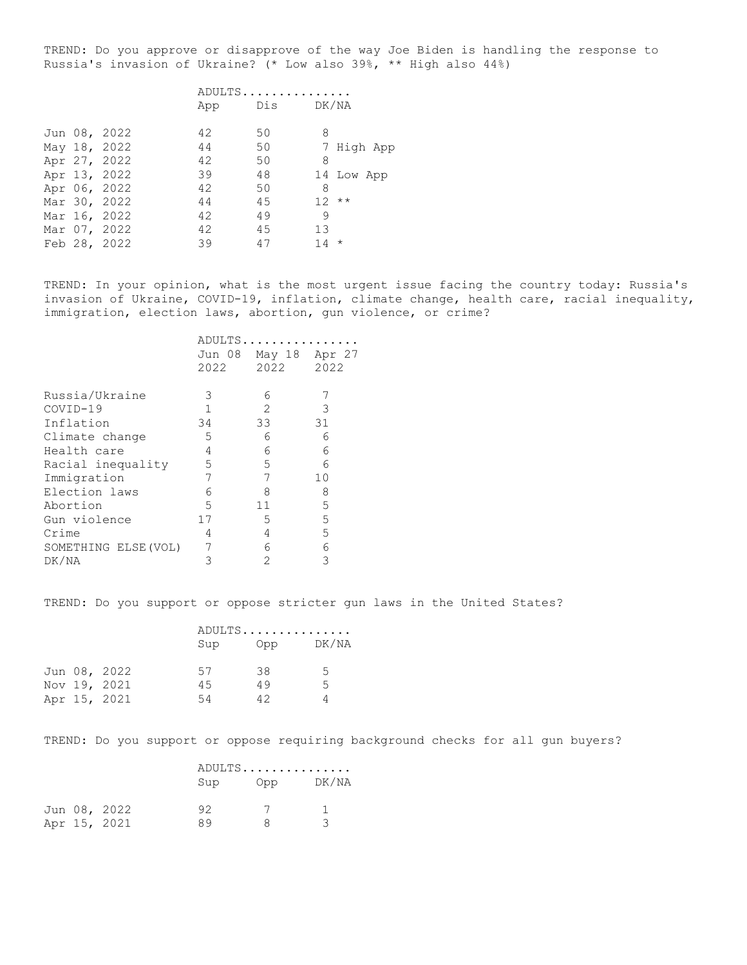TREND: Do you approve or disapprove of the way Joe Biden is handling the response to Russia's invasion of Ukraine? (\* Low also 39%, \*\* High also 44%)

|  |              |     | ADULTS |            |
|--|--------------|-----|--------|------------|
|  |              | App | Dis    | DK/NA      |
|  |              |     |        |            |
|  | Jun 08, 2022 | 42  | 50     | 8          |
|  | May 18, 2022 | 44  | 50     | 7 High App |
|  | Apr 27, 2022 | 42  | 50     | 8          |
|  | Apr 13, 2022 | 39  | 48     | 14 Low App |
|  | Apr 06, 2022 | 42  | 50     | 8          |
|  | Mar 30, 2022 | 44  | 45     | $12***$    |
|  | Mar 16, 2022 | 42  | 49     | 9          |
|  | Mar 07, 2022 | 42  | 45     | 13         |
|  | Feb 28, 2022 | 39  | 47     | $14 *$     |

TREND: In your opinion, what is the most urgent issue facing the country today: Russia's invasion of Ukraine, COVID-19, inflation, climate change, health care, racial inequality, immigration, election laws, abortion, gun violence, or crime?

|                      | ADULTS. |        |        |
|----------------------|---------|--------|--------|
|                      | Jun 08  | May 18 | Apr 27 |
|                      | 2022    | 2022   | 2022   |
|                      |         |        |        |
| Russia/Ukraine       | 3       | 6      |        |
| COVID-19             | 1       | 2      | 3      |
| Inflation            | 34      | 33     | 31     |
| Climate change       | 5       | 6      | 6      |
| Health care          | 4       | 6      | 6      |
| Racial inequality    | 5       | 5      | 6      |
| Immigration          | 7       | 7      | 10     |
| Election laws        | 6       | 8      | 8      |
| Abortion             | 5.      | 11     | 5      |
| Gun violence         | 17      | 5      | 5      |
| Crime                | 4       | 4      | 5      |
| SOMETHING ELSE (VOL) |         | 6      | 6      |
| DK/NA                | З       | 2      | 3      |

TREND: Do you support or oppose stricter gun laws in the United States?

|  |              |     | ADULTS |       |  |
|--|--------------|-----|--------|-------|--|
|  |              | Sup | Opp    | DK/NA |  |
|  | Jun 08, 2022 | 57  | 38     | -5    |  |
|  | Nov 19, 2021 | 45  | 49     | .5    |  |
|  | Apr 15, 2021 | 54  | 42     |       |  |

TREND: Do you support or oppose requiring background checks for all gun buyers?

|  |              |     | ADULTS |           |  |
|--|--------------|-----|--------|-----------|--|
|  |              | Sup |        | Opp DK/NA |  |
|  | Jun 08, 2022 | 92  |        |           |  |
|  | Apr 15, 2021 | 89  |        | -2        |  |